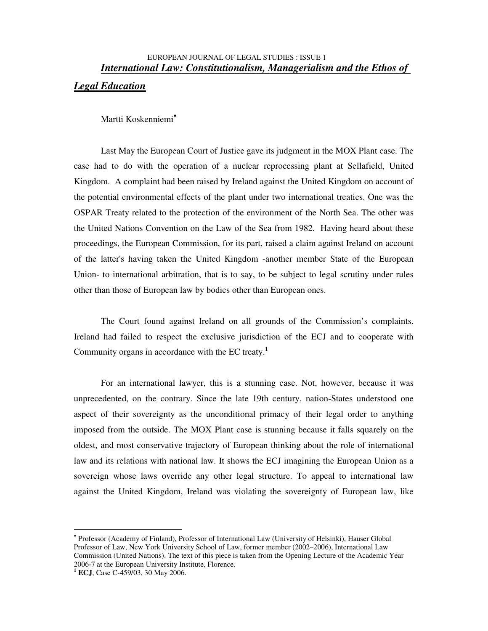# EUROPEAN JOURNAL OF LEGAL STUDIES : ISSUE 1 *International Law: Constitutionalism, Managerialism and the Ethos of Legal Education*

Martti Koskenniemi<sup>\*</sup>

Last May the European Court of Justice gave its judgment in the MOX Plant case. The case had to do with the operation of a nuclear reprocessing plant at Sellafield, United Kingdom. A complaint had been raised by Ireland against the United Kingdom on account of the potential environmental effects of the plant under two international treaties. One was the OSPAR Treaty related to the protection of the environment of the North Sea. The other was the United Nations Convention on the Law of the Sea from 1982. Having heard about these proceedings, the European Commission, for its part, raised a claim against Ireland on account of the latter's having taken the United Kingdom -another member State of the European Union- to international arbitration, that is to say, to be subject to legal scrutiny under rules other than those of European law by bodies other than European ones.

The Court found against Ireland on all grounds of the Commission's complaints. Ireland had failed to respect the exclusive jurisdiction of the ECJ and to cooperate with Community organs in accordance with the EC treaty. **1**

For an international lawyer, this is a stunning case. Not, however, because it was unprecedented, on the contrary. Since the late 19th century, nation-States understood one aspect of their sovereignty as the unconditional primacy of their legal order to anything imposed from the outside. The MOX Plant case is stunning because it falls squarely on the oldest, and most conservative trajectory of European thinking about the role of international law and its relations with national law. It shows the ECJ imagining the European Union as a sovereign whose laws override any other legal structure. To appeal to international law against the United Kingdom, Ireland was violating the sovereignty of European law, like

<sup>∗</sup> Professor (Academy of Finland), Professor of International Law (University of Helsinki), Hauser Global Professor of Law, New York University School of Law, former member (2002–2006), International Law Commission (United Nations). The text of this piece is taken from the Opening Lecture of the Academic Year 2006-7 at the European University Institute, Florence.

**<sup>1</sup> ECJ**, Case C-459/03, 30 May 2006.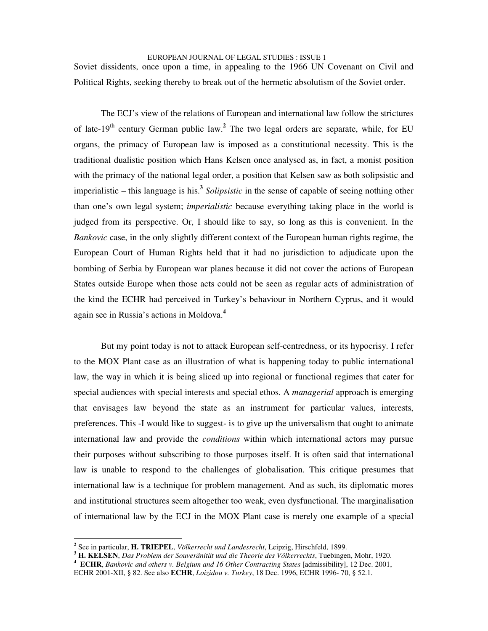Soviet dissidents, once upon a time, in appealing to the 1966 UN Covenant on Civil and Political Rights, seeking thereby to break out of the hermetic absolutism of the Soviet order.

The ECJ's view of the relations of European and international law follow the strictures of late-19<sup>th</sup> century German public law.<sup>2</sup> The two legal orders are separate, while, for EU organs, the primacy of European law is imposed as a constitutional necessity. This is the traditional dualistic position which Hans Kelsen once analysed as, in fact, a monist position with the primacy of the national legal order, a position that Kelsen saw as both solipsistic and imperialistic  $-$  this language is his.<sup>3</sup> *Solipsistic* in the sense of capable of seeing nothing other than one's own legal system; *imperialistic* because everything taking place in the world is judged from its perspective. Or, I should like to say, so long as this is convenient. In the *Bankovic* case, in the only slightly different context of the European human rights regime, the European Court of Human Rights held that it had no jurisdiction to adjudicate upon the bombing of Serbia by European war planes because it did not cover the actions of European States outside Europe when those acts could not be seen as regular acts of administration of the kind the ECHR had perceived in Turkey's behaviour in Northern Cyprus, and it would again see in Russia's actions in Moldova. **4**

But my point today is not to attack European self-centredness, or its hypocrisy. I refer to the MOX Plant case as an illustration of what is happening today to public international law, the way in which it is being sliced up into regional or functional regimes that cater for special audiences with special interests and special ethos. A *managerial* approach is emerging that envisages law beyond the state as an instrument for particular values, interests, preferences. This -I would like to suggest- is to give up the universalism that ought to animate international law and provide the *conditions* within which international actors may pursue their purposes without subscribing to those purposes itself. It is often said that international law is unable to respond to the challenges of globalisation. This critique presumes that international law is a technique for problem management. And as such, its diplomatic mores and institutional structures seem altogether too weak, even dysfunctional. The marginalisation of international law by the ECJ in the MOX Plant case is merely one example of a special

**<sup>2</sup>** See in particular, **H. TRIEPEL**, *Völkerrecht und Landesrecht*, Leipzig, Hirschfeld, 1899.

**<sup>3</sup> H. KELSEN**, *Das Problem der Souveränität und die Theorie des Völkerrechts*, Tuebingen, Mohr, 1920.

**<sup>4</sup> ECHR**, *Bankovic and others v. Belgium and 16 Other Contracting States* [admissibility], 12 Dec. 2001,

ECHR 2001-XII, § 82. See also **ECHR**, *Loizidou v. Turkey*, 18 Dec. 1996, ECHR 1996- 70, § 52.1.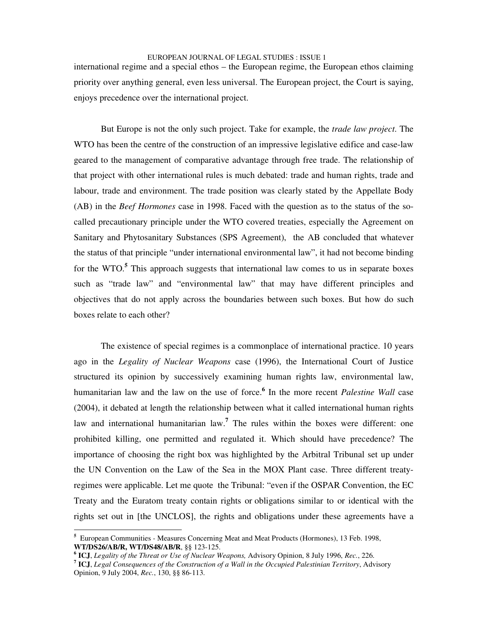international regime and a special ethos – the European regime, the European ethos claiming priority over anything general, even less universal. The European project, the Court is saying, enjoys precedence over the international project.

But Europe is not the only such project. Take for example, the *trade law project*. The WTO has been the centre of the construction of an impressive legislative edifice and case-law geared to the management of comparative advantage through free trade. The relationship of that project with other international rules is much debated: trade and human rights, trade and labour, trade and environment. The trade position was clearly stated by the Appellate Body (AB) in the *Beef Hormones* case in 1998. Faced with the question as to the status of the socalled precautionary principle under the WTO covered treaties, especially the Agreement on Sanitary and Phytosanitary Substances (SPS Agreement), the AB concluded that whatever the status of that principle "under international environmental law", it had not become binding for the WTO. **<sup>5</sup>** This approach suggests that international law comes to us in separate boxes such as "trade law" and "environmental law" that may have different principles and objectives that do not apply across the boundaries between such boxes. But how do such boxes relate to each other?

The existence of special regimes is a commonplace of international practice. 10 years ago in the *Legality of Nuclear Weapons* case (1996), the International Court of Justice structured its opinion by successively examining human rights law, environmental law, humanitarian law and the law on the use of force. **6** In the more recent *Palestine Wall* case (2004), it debated at length the relationship between what it called international human rights law and international humanitarian law. **<sup>7</sup>** The rules within the boxes were different: one prohibited killing, one permitted and regulated it. Which should have precedence? The importance of choosing the right box was highlighted by the Arbitral Tribunal set up under the UN Convention on the Law of the Sea in the MOX Plant case. Three different treatyregimes were applicable. Let me quote the Tribunal: "even if the OSPAR Convention, the EC Treaty and the Euratom treaty contain rights or obligations similar to or identical with the rights set out in [the UNCLOS], the rights and obligations under these agreements have a

**<sup>5</sup>** European Communities *-* Measures Concerning Meat and Meat Products (Hormones), 13 Feb. 1998, **WT/DS26/AB/R, WT/DS48/AB/R**, §§ 123-125.

**<sup>6</sup> ICJ**, *Legality of the Threat or Use of Nuclear Weapons,* Advisory Opinion, 8 July 1996, *Rec.*, 226.

**<sup>7</sup> ICJ**, *Legal Consequences of the Construction of a Wall in the Occupied Palestinian Territory*, Advisory Opinion, 9 July 2004, *Rec.*, 130, §§ 86-113.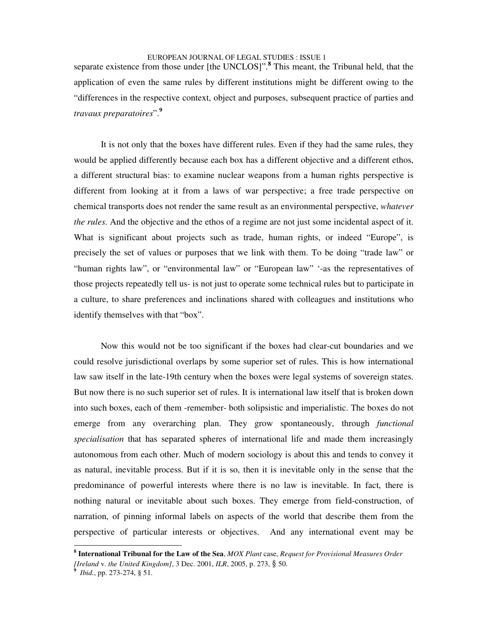separate existence from those under [the UNCLOS]". **<sup>8</sup>** This meant, the Tribunal held, that the application of even the same rules by different institutions might be different owing to the "differences in the respective context, object and purposes, subsequent practice of parties and *travaux preparatoires*". **9**

It is not only that the boxes have different rules. Even if they had the same rules, they would be applied differently because each box has a different objective and a different ethos, a different structural bias: to examine nuclear weapons from a human rights perspective is different from looking at it from a laws of war perspective; a free trade perspective on chemical transports does not render the same result as an environmental perspective, *whatever the rules*. And the objective and the ethos of a regime are not just some incidental aspect of it. What is significant about projects such as trade, human rights, or indeed "Europe", is precisely the set of values or purposes that we link with them. To be doing "trade law" or "human rights law", or "environmental law" or "European law" '-as the representatives of those projects repeatedly tell us- is not just to operate some technical rules but to participate in a culture, to share preferences and inclinations shared with colleagues and institutions who identify themselves with that "box".

Now this would not be too significant if the boxes had clear-cut boundaries and we could resolve jurisdictional overlaps by some superior set of rules. This is how international law saw itself in the late-19th century when the boxes were legal systems of sovereign states. But now there is no such superior set of rules. It is international law itself that is broken down into such boxes, each of them -remember- both solipsistic and imperialistic. The boxes do not emerge from any overarching plan. They grow spontaneously, through *functional specialisation* that has separated spheres of international life and made them increasingly autonomous from each other. Much of modern sociology is about this and tends to convey it as natural, inevitable process. But if it is so, then it is inevitable only in the sense that the predominance of powerful interests where there is no law is inevitable. In fact, there is nothing natural or inevitable about such boxes. They emerge from field-construction, of narration, of pinning informal labels on aspects of the world that describe them from the perspective of particular interests or objectives. And any international event may be

**<sup>8</sup> International Tribunal for the Law of the Sea**, *MOX Plant* case, *Request for Provisional Measures Order [Ireland* v. *the United Kingdom]*, 3 Dec. 2001, *ILR*, 2005, p. 273, § 50.

**<sup>9</sup>** *Ibid.*, pp. 273-274, § 51.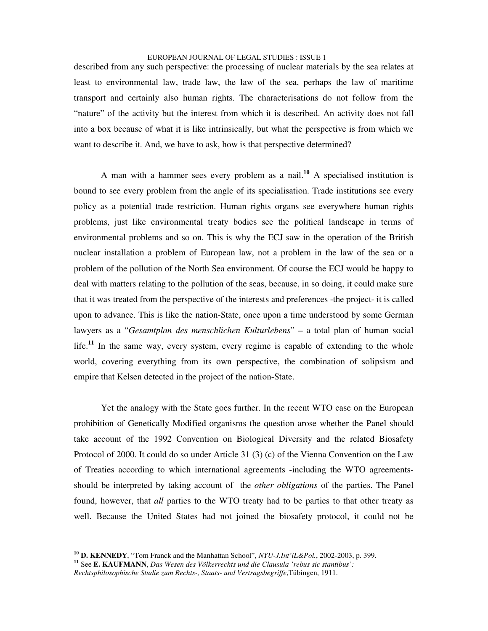described from any such perspective: the processing of nuclear materials by the sea relates at least to environmental law, trade law, the law of the sea, perhaps the law of maritime transport and certainly also human rights. The characterisations do not follow from the "nature" of the activity but the interest from which it is described. An activity does not fall into a box because of what it is like intrinsically, but what the perspective is from which we want to describe it. And, we have to ask, how is that perspective determined?

A man with a hammer sees every problem as a nail. **<sup>10</sup>** A specialised institution is bound to see every problem from the angle of its specialisation. Trade institutions see every policy as a potential trade restriction. Human rights organs see everywhere human rights problems, just like environmental treaty bodies see the political landscape in terms of environmental problems and so on. This is why the ECJ saw in the operation of the British nuclear installation a problem of European law, not a problem in the law of the sea or a problem of the pollution of the North Sea environment. Of course the ECJ would be happy to deal with matters relating to the pollution of the seas, because, in so doing, it could make sure that it was treated from the perspective of the interests and preferences -the project- it is called upon to advance. This is like the nation-State, once upon a time understood by some German lawyers as a "*Gesamtplan des menschlichen Kulturlebens*" – a total plan of human social life. **11** In the same way, every system, every regime is capable of extending to the whole world, covering everything from its own perspective, the combination of solipsism and empire that Kelsen detected in the project of the nation-State.

Yet the analogy with the State goes further. In the recent WTO case on the European prohibition of Genetically Modified organisms the question arose whether the Panel should take account of the 1992 Convention on Biological Diversity and the related Biosafety Protocol of 2000. It could do so under Article 31 (3) (c) of the Vienna Convention on the Law of Treaties according to which international agreements -including the WTO agreementsshould be interpreted by taking account of the *other obligations* of the parties. The Panel found, however, that *all* parties to the WTO treaty had to be parties to that other treaty as well. Because the United States had not joined the biosafety protocol, it could not be

**<sup>10</sup> D. KENNEDY**, "Tom Franck and the Manhattan School", *NYU-J.Int'lL&Pol.*, 2002-2003, p. 399.

**<sup>11</sup>** See **E. KAUFMANN**, *Das Wesen des Völkerrechts und die Clausula 'rebus sic stantibus':*

*Rechtsphilosophische Studie zum Rechts-, Staats- und Vertragsbegriffe*,Tübingen, 1911.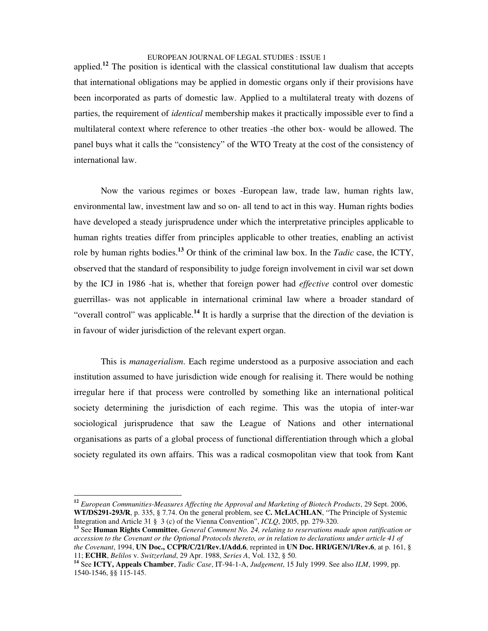applied.<sup>12</sup> The position is identical with the classical constitutional law dualism that accepts that international obligations may be applied in domestic organs only if their provisions have been incorporated as parts of domestic law. Applied to a multilateral treaty with dozens of parties, the requirement of *identical* membership makes it practically impossible ever to find a multilateral context where reference to other treaties -the other box- would be allowed. The panel buys what it calls the "consistency" of the WTO Treaty at the cost of the consistency of international law.

Now the various regimes or boxes -European law, trade law, human rights law, environmental law, investment law and so on- all tend to act in this way. Human rights bodies have developed a steady jurisprudence under which the interpretative principles applicable to human rights treaties differ from principles applicable to other treaties, enabling an activist role by human rights bodies. **<sup>13</sup>** Or think of the criminal law box. In the *Tadic* case, the ICTY, observed that the standard of responsibility to judge foreign involvement in civil war set down by the ICJ in 1986 -hat is, whether that foreign power had *effective* control over domestic guerrillas- was not applicable in international criminal law where a broader standard of "overall control" was applicable.<sup>14</sup> It is hardly a surprise that the direction of the deviation is in favour of wider jurisdiction of the relevant expert organ.

This is *managerialism*. Each regime understood as a purposive association and each institution assumed to have jurisdiction wide enough for realising it. There would be nothing irregular here if that process were controlled by something like an international political society determining the jurisdiction of each regime. This was the utopia of inter-war sociological jurisprudence that saw the League of Nations and other international organisations as parts of a global process of functional differentiation through which a global society regulated its own affairs. This was a radical cosmopolitan view that took from Kant

**<sup>12</sup>** *European Communities-Measures Affecting the Approval and Marketing of Biotech Products*, 29 Sept. 2006, **WT/DS291-293/R**, p. 335, § 7.74. On the general problem, see **C. McLACHLAN**, "The Principle of Systemic Integration and Article 31 § 3 (c) of the Vienna Convention", *ICLQ*, 2005, pp. 279-320.

**<sup>13</sup>** See **Human Rights Committee**, *General Comment No. 24, relating to reservations made upon ratification or* accession to the Covenant or the Optional Protocols thereto, or in relation to declarations under article 41 of *the Covenant*, 1994, **UN Doc., CCPR/C/21/Rev.1/Add.6**, reprinted in **UN Doc. HRI/GEN/1/Rev.6**, at p. 161, § 11; **ECHR**, *Belilos* v. *Switzerland*, 29 Apr. 1988, *Series A*, Vol. 132, § 50.

**<sup>14</sup>** See **ICTY, Appeals Chamber**, *Tadic Case*, IT-94-1-A, *Judgement*, 15 July 1999. See also *ILM*, 1999, pp. 1540-1546, §§ 115-145.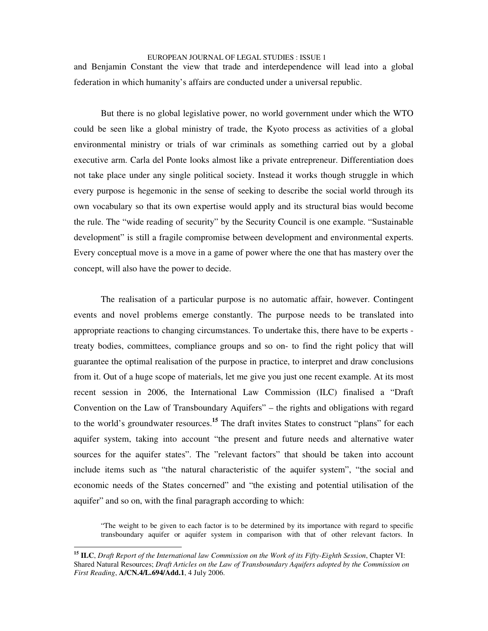and Benjamin Constant the view that trade and interdependence will lead into a global federation in which humanity's affairs are conducted under a universal republic.

But there is no global legislative power, no world government under which the WTO could be seen like a global ministry of trade, the Kyoto process as activities of a global environmental ministry or trials of war criminals as something carried out by a global executive arm. Carla del Ponte looks almost like a private entrepreneur. Differentiation does not take place under any single political society. Instead it works though struggle in which every purpose is hegemonic in the sense of seeking to describe the social world through its own vocabulary so that its own expertise would apply and its structural bias would become the rule. The "wide reading of security" by the Security Council is one example. "Sustainable development" is still a fragile compromise between development and environmental experts. Every conceptual move is a move in a game of power where the one that has mastery over the concept, will also have the power to decide.

The realisation of a particular purpose is no automatic affair, however. Contingent events and novel problems emerge constantly. The purpose needs to be translated into appropriate reactions to changing circumstances. To undertake this, there have to be experts treaty bodies, committees, compliance groups and so on- to find the right policy that will guarantee the optimal realisation of the purpose in practice, to interpret and draw conclusions from it. Out of a huge scope of materials, let me give you just one recent example. At its most recent session in 2006, the International Law Commission (ILC) finalised a "Draft Convention on the Law of Transboundary Aquifers" – the rights and obligations with regard to the world's groundwater resources. **<sup>15</sup>** The draft invites States to construct "plans" for each aquifer system, taking into account "the present and future needs and alternative water sources for the aquifer states". The "relevant factors" that should be taken into account include items such as "the natural characteristic of the aquifer system", "the social and economic needs of the States concerned" and "the existing and potential utilisation of the aquifer" and so on, with the final paragraph according to which:

"The weight to be given to each factor is to be determined by its importance with regard to specific transboundary aquifer or aquifer system in comparison with that of other relevant factors. In

**<sup>15</sup> ILC**, *Draft Report of the International law Commission on the Work of its Fifty-Eighth Session*, Chapter VI: Shared Natural Resources; *Draft Articles on the Law of Transboundary Aquifers adopted by the Commission on First Reading*, **A/CN.4/L.694/Add.1**, 4 July 2006.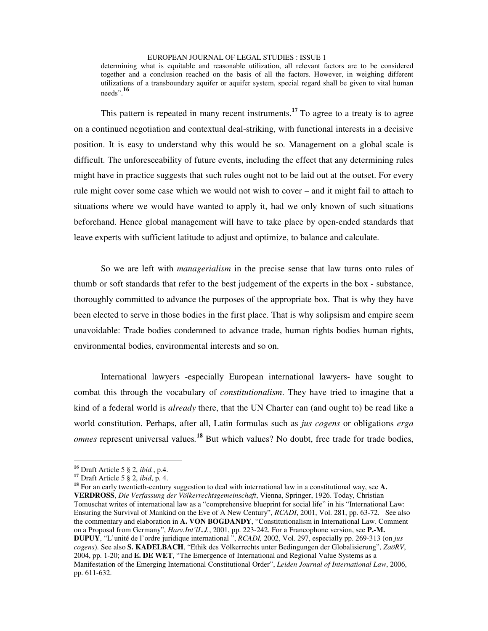determining what is equitable and reasonable utilization, all relevant factors are to be considered together and a conclusion reached on the basis of all the factors. However, in weighing different utilizations of a transboundary aquifer or aquifer system, special regard shall be given to vital human needs". **16**

This pattern is repeated in many recent instruments.<sup>17</sup> To agree to a treaty is to agree on a continued negotiation and contextual deal-striking, with functional interests in a decisive position. It is easy to understand why this would be so. Management on a global scale is difficult. The unforeseeability of future events, including the effect that any determining rules might have in practice suggests that such rules ought not to be laid out at the outset. For every rule might cover some case which we would not wish to cover – and it might fail to attach to situations where we would have wanted to apply it, had we only known of such situations beforehand. Hence global management will have to take place by open-ended standards that leave experts with sufficient latitude to adjust and optimize, to balance and calculate.

So we are left with *managerialism* in the precise sense that law turns onto rules of thumb or soft standards that refer to the best judgement of the experts in the box - substance, thoroughly committed to advance the purposes of the appropriate box. That is why they have been elected to serve in those bodies in the first place. That is why solipsism and empire seem unavoidable: Trade bodies condemned to advance trade, human rights bodies human rights, environmental bodies, environmental interests and so on.

International lawyers -especially European international lawyers- have sought to combat this through the vocabulary of *constitutionalism*. They have tried to imagine that a kind of a federal world is *already* there, that the UN Charter can (and ought to) be read like a world constitution. Perhaps, after all, Latin formulas such as *jus cogens* or obligations *erga omnes* represent universal values*.* **<sup>18</sup>** But which values? No doubt, free trade for trade bodies,

**18** For an early twentieth-century suggestion to deal with international law in a constitutional way, see **A. VERDROSS**, *Die Verfassung der Völkerrechtsgemeinschaft*, Vienna, Springer, 1926. Today, Christian Tomuschat writes of international law as a "comprehensive blueprint for social life" in his "International Law: Ensuring the Survival of Mankind on the Eve of A New Century", *RCADI*, 2001, Vol. 281, pp. 63-72. See also the commentary and elaboration in **A. VON BOGDANDY**, "Constitutionalism in International Law. Comment on a Proposal from Germany", *Harv.Int'lL.J.*, 2001, pp. 223-242. For a Francophone version, see **P.-M. DUPUY**, "L'unité de l'ordre juridique international ", *RCADI,* 2002, Vol. 297, especially pp. 269-313 (on *jus cogens*). See also **S. KADELBACH**, "Ethik des Völkerrechts unter Bedingungen der Globalisierung", *ZaöRV*, 2004, pp. 1-20; and **E. DE WET**, "The Emergence of International and Regional Value Systems as a Manifestation of the Emerging International Constitutional Order", *Leiden Journal of International Law*, 2006, pp. 611-632.

**<sup>16</sup>** Draft Article 5 § 2, *ibid.*, p.4.

**<sup>17</sup>** Draft Article 5 § 2, *ibid*, p. 4.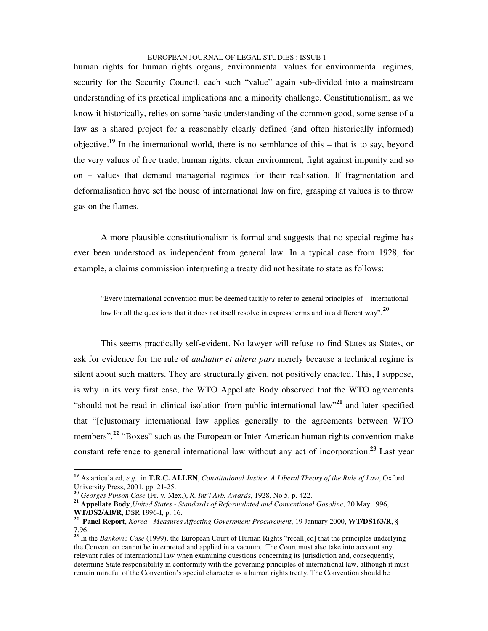human rights for human rights organs, environmental values for environmental regimes, security for the Security Council, each such "value" again sub-divided into a mainstream understanding of its practical implications and a minority challenge. Constitutionalism, as we know it historically, relies on some basic understanding of the common good, some sense of a law as a shared project for a reasonably clearly defined (and often historically informed) objective. **19** In the international world, there is no semblance of this – that is to say, beyond the very values of free trade, human rights, clean environment, fight against impunity and so on – values that demand managerial regimes for their realisation. If fragmentation and deformalisation have set the house of international law on fire, grasping at values is to throw gas on the flames.

A more plausible constitutionalism is formal and suggests that no special regime has ever been understood as independent from general law. In a typical case from 1928, for example, a claims commission interpreting a treaty did not hesitate to state as follows:

"Every international convention must be deemed tacitly to refer to general principles of international law for all the questions that it does not itself resolve in express terms and in a different way".<sup>20</sup>

This seems practically self-evident. No lawyer will refuse to find States as States, or ask for evidence for the rule of *audiatur et altera pars* merely because a technical regime is silent about such matters. They are structurally given, not positively enacted. This, I suppose, is why in its very first case, the WTO Appellate Body observed that the WTO agreements "should not be read in clinical isolation from public international law"<sup>21</sup> and later specified that "[c]ustomary international law applies generally to the agreements between WTO members".<sup>22</sup> "Boxes" such as the European or Inter-American human rights convention make constant reference to general international law without any act of incorporation. **<sup>23</sup>** Last year

**<sup>19</sup>** As articulated, *e.g.*, in **T.R.C. ALLEN**, *Constitutional Justice. A Liberal Theory of the Rule of Law*, Oxford University Press, 2001, pp. 21-25.

**<sup>20</sup>** *Georges Pinson Case* (Fr. v. Mex.), *R. Int'l Arb. Awards*, 1928, No 5, p. 422.

**<sup>21</sup> Appellate Body**,*United States - Standards of Reformulated and Conventional Gasoline*, 20 May 1996, **WT/DS2/AB/R**, DSR 1996-I, p. 16.

**<sup>22</sup> Panel Report**, *Korea - Measures Affecting Government Procurement*, 19 January 2000, **WT/DS163/R**, § 7.96.

**<sup>23</sup>** In the *Bankovic Case* (1999), the European Court of Human Rights "recall[ed] that the principles underlying the Convention cannot be interpreted and applied in a vacuum. The Court must also take into account any relevant rules of international law when examining questions concerning its jurisdiction and, consequently, determine State responsibility in conformity with the governing principles of international law, although it must remain mindful of the Convention's special character as a human rights treaty. The Convention should be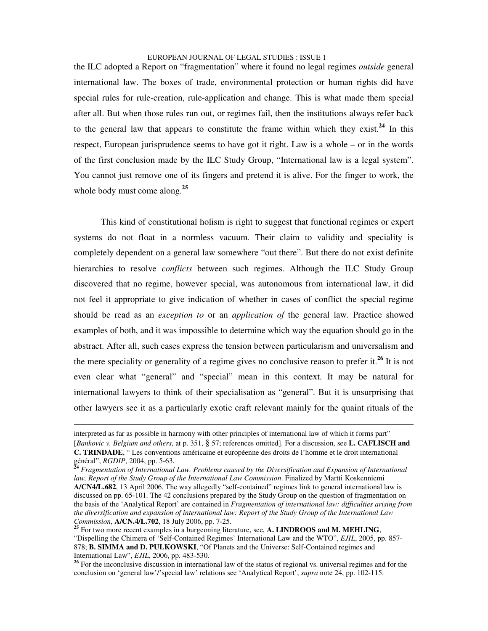the ILC adopted a Report on "fragmentation" where it found no legal regimes *outside* general international law. The boxes of trade, environmental protection or human rights did have special rules for rule-creation, rule-application and change. This is what made them special after all. But when those rules run out, or regimes fail, then the institutions always refer back to the general law that appears to constitute the frame within which they exist. **24** In this respect, European jurisprudence seems to have got it right. Law is a whole – or in the words of the first conclusion made by the ILC Study Group, "International law is a legal system". You cannot just remove one of its fingers and pretend it is alive. For the finger to work, the whole body must come along. **25**

This kind of constitutional holism is right to suggest that functional regimes or expert systems do not float in a normless vacuum. Their claim to validity and speciality is completely dependent on a general law somewhere "out there". But there do not exist definite hierarchies to resolve *conflicts* between such regimes. Although the ILC Study Group discovered that no regime, however special, was autonomous from international law, it did not feel it appropriate to give indication of whether in cases of conflict the special regime should be read as an *exception to* or an *application of* the general law. Practice showed examples of both, and it was impossible to determine which way the equation should go in the abstract. After all, such cases express the tension between particularism and universalism and the mere speciality or generality of a regime gives no conclusive reason to prefer it.<sup>26</sup> It is not even clear what "general" and "special" mean in this context. It may be natural for international lawyers to think of their specialisation as "general". But it is unsurprising that other lawyers see it as a particularly exotic craft relevant mainly for the quaint rituals of the

interpreted as far as possible in harmony with other principles of international law of which it forms part" [*Bankovic v. Belgium and others*, at p. 351, § 57; references omitted]. For a discussion, see **L. CAFLISCH and C. TRINDADE**, " Les conventions américaine et européenne des droits de l'homme et le droit international général", *RGDIP*, 2004, pp. 5-63. **24**

*Fragmentation of International Law. Problems caused by the Diversification and Expansion of International law, Report of the Study Group of the International Law Commission*. Finalized by Martti Koskenniemi **A/CN4/L.682**, 13 April 2006. The way allegedly "self-contained" regimes link to general international law is discussed on pp. 65-101. The 42 conclusions prepared by the Study Group on the question of fragmentation on the basis of the 'Analytical Report' are contained in *Fragmentation of international law: difficulties arising from the diversification and expansion of international law: Report of the Study Group of the International Law Commission*, **A/CN.4/L.702**, 18 July 2006, pp. 7-25.

**<sup>25</sup>** For two more recent examples in a burgeoning literature, see, **A. LINDROOS and M. MEHLING**, "Dispelling the Chimera of 'Self-Contained Regimes' International Law and the WTO", *EJIL*, 2005, pp. 857- 878; **B. SIMMA and D. PULKOWSKI**, "Of Planets and the Universe: Self-Contained regimes and International Law", *EJIL*, 2006, pp. 483-530.

<sup>&</sup>lt;sup>26</sup> For the inconclusive discussion in international law of the status of regional vs. universal regimes and for the conclusion on 'general law'/'special law' relations see 'Analytical Report', *supra* note 24, pp. 102-115.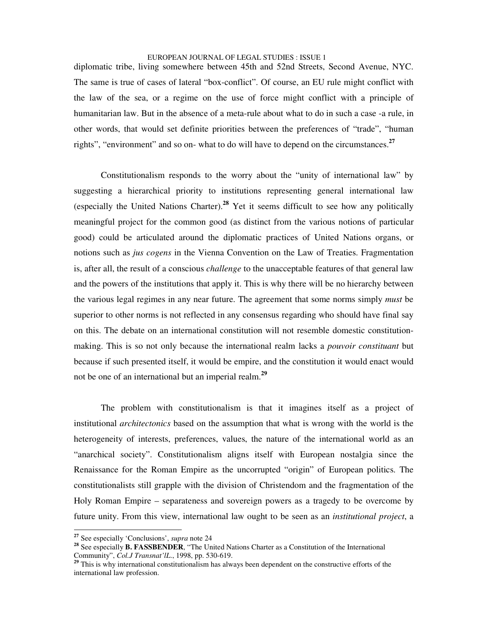diplomatic tribe, living somewhere between 45th and 52nd Streets, Second Avenue, NYC. The same is true of cases of lateral "box-conflict". Of course, an EU rule might conflict with the law of the sea, or a regime on the use of force might conflict with a principle of humanitarian law. But in the absence of a meta-rule about what to do in such a case -a rule, in other words, that would set definite priorities between the preferences of "trade", "human rights", "environment" and so on- what to do will have to depend on the circumstances. **27**

Constitutionalism responds to the worry about the "unity of international law" by suggesting a hierarchical priority to institutions representing general international law (especially the United Nations Charter). **<sup>28</sup>** Yet it seems difficult to see how any politically meaningful project for the common good (as distinct from the various notions of particular good) could be articulated around the diplomatic practices of United Nations organs, or notions such as *jus cogens* in the Vienna Convention on the Law of Treaties. Fragmentation is, after all, the result of a conscious *challenge* to the unacceptable features of that general law and the powers of the institutions that apply it. This is why there will be no hierarchy between the various legal regimes in any near future. The agreement that some norms simply *must* be superior to other norms is not reflected in any consensus regarding who should have final say on this. The debate on an international constitution will not resemble domestic constitutionmaking. This is so not only because the international realm lacks a *pouvoir constituant* but because if such presented itself, it would be empire, and the constitution it would enact would not be one of an international but an imperial realm. **29**

The problem with constitutionalism is that it imagines itself as a project of institutional *architectonics* based on the assumption that what is wrong with the world is the heterogeneity of interests, preferences, values, the nature of the international world as an "anarchical society". Constitutionalism aligns itself with European nostalgia since the Renaissance for the Roman Empire as the uncorrupted "origin" of European politics. The constitutionalists still grapple with the division of Christendom and the fragmentation of the Holy Roman Empire – separateness and sovereign powers as a tragedy to be overcome by future unity. From this view, international law ought to be seen as an *institutional project*, a

**<sup>27</sup>** See especially 'Conclusions', *supra* note 24

**<sup>28</sup>** See especially **B. FASSBENDER**, "The United Nations Charter as a Constitution of the International Community", *Col.J Transnat'lL*., 1998, pp. 530-619.

<sup>&</sup>lt;sup>29</sup> This is why international constitutionalism has always been dependent on the constructive efforts of the international law profession.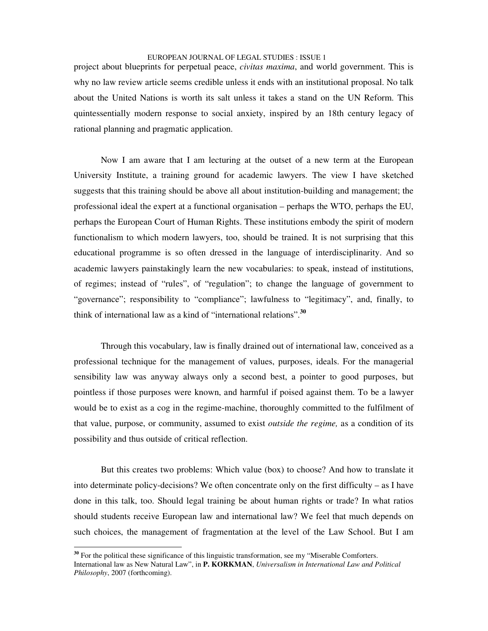project about blueprints for perpetual peace, *civitas maxima*, and world government. This is why no law review article seems credible unless it ends with an institutional proposal. No talk about the United Nations is worth its salt unless it takes a stand on the UN Reform. This quintessentially modern response to social anxiety, inspired by an 18th century legacy of rational planning and pragmatic application.

Now I am aware that I am lecturing at the outset of a new term at the European University Institute, a training ground for academic lawyers. The view I have sketched suggests that this training should be above all about institution-building and management; the professional ideal the expert at a functional organisation – perhaps the WTO, perhaps the EU, perhaps the European Court of Human Rights. These institutions embody the spirit of modern functionalism to which modern lawyers, too, should be trained. It is not surprising that this educational programme is so often dressed in the language of interdisciplinarity. And so academic lawyers painstakingly learn the new vocabularies: to speak, instead of institutions, of regimes; instead of "rules", of "regulation"; to change the language of government to "governance"; responsibility to "compliance"; lawfulness to "legitimacy", and, finally, to think of international law as a kind of "international relations". **30**

Through this vocabulary, law is finally drained out of international law, conceived as a professional technique for the management of values, purposes, ideals. For the managerial sensibility law was anyway always only a second best, a pointer to good purposes, but pointless if those purposes were known, and harmful if poised against them. To be a lawyer would be to exist as a cog in the regime-machine, thoroughly committed to the fulfilment of that value, purpose, or community, assumed to exist *outside the regime,* as a condition of its possibility and thus outside of critical reflection.

But this creates two problems: Which value (box) to choose? And how to translate it into determinate policy-decisions? We often concentrate only on the first difficulty – as I have done in this talk, too. Should legal training be about human rights or trade? In what ratios should students receive European law and international law? We feel that much depends on such choices, the management of fragmentation at the level of the Law School. But I am

<sup>&</sup>lt;sup>30</sup> For the political these significance of this linguistic transformation, see my "Miserable Comforters. International law as New Natural Law", in **P. KORKMAN**, *Universalism in International Law and Political Philosophy*, 2007 (forthcoming).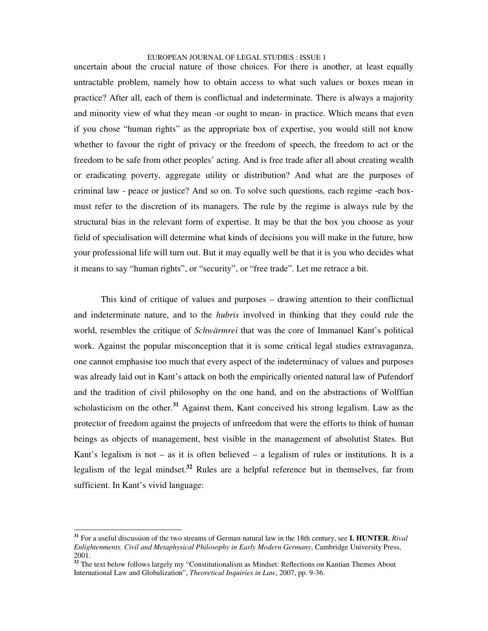uncertain about the crucial nature of those choices. For there is another, at least equally untractable problem, namely how to obtain access to what such values or boxes mean in practice? After all, each of them is conflictual and indeterminate. There is always a majority and minority view of what they mean -or ought to mean- in practice. Which means that even if you chose "human rights" as the appropriate box of expertise, you would still not know whether to favour the right of privacy or the freedom of speech, the freedom to act or the freedom to be safe from other peoples' acting. And is free trade after all about creating wealth or eradicating poverty, aggregate utility or distribution? And what are the purposes of criminal law - peace or justice? And so on. To solve such questions, each regime -each boxmust refer to the discretion of its managers. The rule by the regime is always rule by the structural bias in the relevant form of expertise. It may be that the box you choose as your field of specialisation will determine what kinds of decisions you will make in the future, how your professional life will turn out. But it may equally well be that it is you who decides what it means to say "human rights", or "security", or "free trade". Let me retrace a bit.

This kind of critique of values and purposes – drawing attention to their conflictual and indeterminate nature, and to the *hubris* involved in thinking that they could rule the world, resembles the critique of *Schwärmrei* that was the core of Immanuel Kant's political work. Against the popular misconception that it is some critical legal studies extravaganza, one cannot emphasise too much that every aspect of the indeterminacy of values and purposes was already laid out in Kant's attack on both the empirically oriented natural law of Pufendorf and the tradition of civil philosophy on the one hand, and on the abstractions of Wolffian scholasticism on the other.<sup>31</sup> Against them, Kant conceived his strong legalism. Law as the protector of freedom against the projects of unfreedom that were the efforts to think of human beings as objects of management, best visible in the management of absolutist States. But Kant's legalism is not – as it is often believed – a legalism of rules or institutions. It is a legalism of the legal mindset. **<sup>32</sup>** Rules are a helpful reference but in themselves, far from sufficient. In Kant's vivid language:

**<sup>31</sup>** For a useful discussion of the two streams of German natural law in the 18th century, see **I. HUNTER**, *Rival Enlightenments. Civil and Metaphysical Philosophy in Early Modern Germany*, Cambridge University Press, 2001.

<sup>&</sup>lt;sup>32</sup> The text below follows largely my "Constitutionalism as Mindset: Reflections on Kantian Themes About International Law and Globalization", *Theoretical Inquiries in Law*, 2007, pp. 9-36.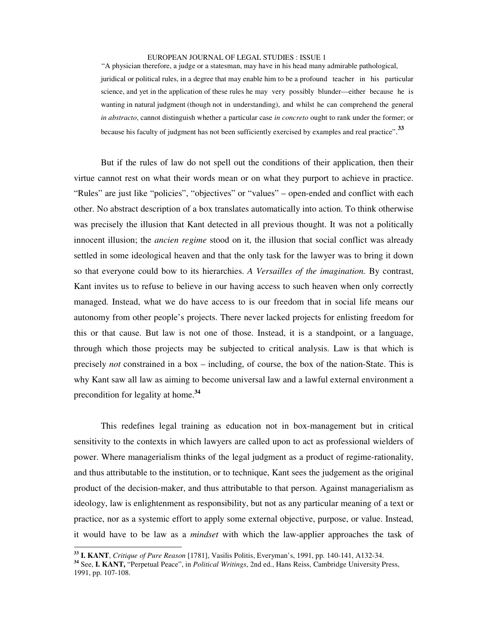"A physician therefore, a judge or a statesman, may have in his head many admirable pathological,

juridical or political rules, in a degree that may enable him to be a profound teacher in his particular science, and yet in the application of these rules he may very possibly blunder—either because he is wanting in natural judgment (though not in understanding), and whilst he can comprehend the general *in abstracto*, cannot distinguish whether a particular case *in concreto* ought to rank under the former; or because his faculty of judgment has not been sufficiently exercised by examples and real practice". **33**

But if the rules of law do not spell out the conditions of their application, then their virtue cannot rest on what their words mean or on what they purport to achieve in practice. "Rules" are just like "policies", "objectives" or "values" – open-ended and conflict with each other. No abstract description of a box translates automatically into action. To think otherwise was precisely the illusion that Kant detected in all previous thought. It was not a politically innocent illusion; the *ancien regime* stood on it, the illusion that social conflict was already settled in some ideological heaven and that the only task for the lawyer was to bring it down so that everyone could bow to its hierarchies. *A Versailles of the imagination.* By contrast, Kant invites us to refuse to believe in our having access to such heaven when only correctly managed. Instead, what we do have access to is our freedom that in social life means our autonomy from other people's projects. There never lacked projects for enlisting freedom for this or that cause. But law is not one of those. Instead, it is a standpoint, or a language, through which those projects may be subjected to critical analysis. Law is that which is precisely *not* constrained in a box – including, of course, the box of the nation-State. This is why Kant saw all law as aiming to become universal law and a lawful external environment a precondition for legality at home. **34**

This redefines legal training as education not in box-management but in critical sensitivity to the contexts in which lawyers are called upon to act as professional wielders of power. Where managerialism thinks of the legal judgment as a product of regime-rationality, and thus attributable to the institution, or to technique, Kant sees the judgement as the original product of the decision-maker, and thus attributable to that person. Against managerialism as ideology, law is enlightenment as responsibility, but not as any particular meaning of a text or practice, nor as a systemic effort to apply some external objective, purpose, or value. Instead, it would have to be law as a *mindset* with which the law-applier approaches the task of

**<sup>33</sup> I. KANT**, *Critique of Pure Reason* [1781], Vasilis Politis, Everyman's, 1991, pp. 140-141, A132-34.

**<sup>34</sup>** See, **I. KANT,** "Perpetual Peace", in *Political Writings*, 2nd ed., Hans Reiss, Cambridge University Press, 1991, pp. 107-108.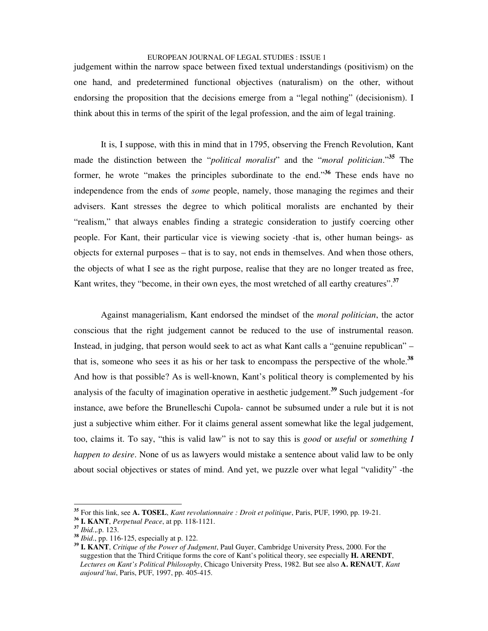judgement within the narrow space between fixed textual understandings (positivism) on the one hand, and predetermined functional objectives (naturalism) on the other, without endorsing the proposition that the decisions emerge from a "legal nothing" (decisionism). I think about this in terms of the spirit of the legal profession, and the aim of legal training.

It is, I suppose, with this in mind that in 1795, observing the French Revolution, Kant made the distinction between the "*political moralist*" and the "*moral politician*." **<sup>35</sup>** The former, he wrote "makes the principles subordinate to the end." **<sup>36</sup>** These ends have no independence from the ends of *some* people, namely, those managing the regimes and their advisers. Kant stresses the degree to which political moralists are enchanted by their "realism," that always enables finding a strategic consideration to justify coercing other people. For Kant, their particular vice is viewing society -that is, other human beings- as objects for external purposes – that is to say, not ends in themselves. And when those others, the objects of what I see as the right purpose, realise that they are no longer treated as free, Kant writes, they "become, in their own eyes, the most wretched of all earthy creatures". **37**

Against managerialism, Kant endorsed the mindset of the *moral politician*, the actor conscious that the right judgement cannot be reduced to the use of instrumental reason. Instead, in judging, that person would seek to act as what Kant calls a "genuine republican" – that is, someone who sees it as his or her task to encompass the perspective of the whole. **38** And how is that possible? As is well-known, Kant's political theory is complemented by his analysis of the faculty of imagination operative in aesthetic judgement. **39** Such judgement -for instance, awe before the Brunelleschi Cupola- cannot be subsumed under a rule but it is not just a subjective whim either. For it claims general assent somewhat like the legal judgement, too, claims it. To say, "this is valid law" is not to say this is *good* or *useful* or *something I happen to desire*. None of us as lawyers would mistake a sentence about valid law to be only about social objectives or states of mind. And yet, we puzzle over what legal "validity" -the

**<sup>35</sup>** For this link, see **A. TOSEL**, *Kant revolutionnaire : Droit et politique*, Paris, PUF, 1990, pp. 19-21.

**<sup>36</sup> I. KANT**, *Perpetual Peace*, at pp. 118-1121.

**<sup>37</sup>** *Ibid.*,*.*p. 123.

**<sup>38</sup>** *Ibid*., pp. 116-125, especially at p. 122.

**<sup>39</sup> I. KANT**, *Critique of the Power of Judgment*, Paul Guyer, Cambridge University Press, 2000. For the suggestion that the Third Critique forms the core of Kant's political theory, see especially **H. ARENDT**, *Lectures on Kant's Political Philosophy*, Chicago University Press, 1982. But see also **A. RENAUT**, *Kant aujourd'hui*, Paris, PUF, 1997, pp. 405-415.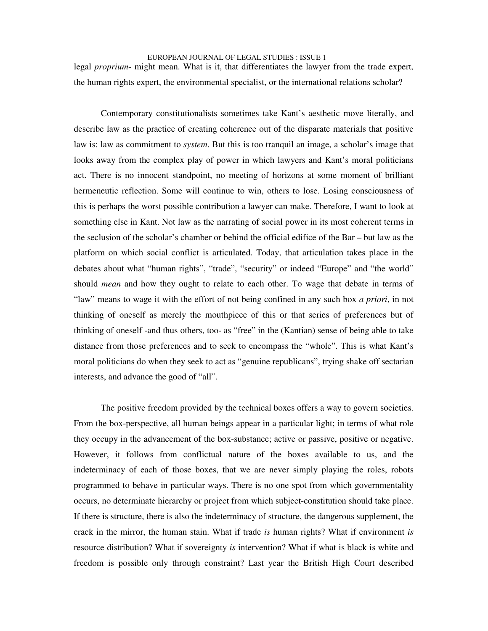## EUROPEAN JOURNAL OF LEGAL STUDIES : ISSUE 1 legal *proprium*- might mean. What is it, that differentiates the lawyer from the trade expert, the human rights expert, the environmental specialist, or the international relations scholar?

Contemporary constitutionalists sometimes take Kant's aesthetic move literally, and describe law as the practice of creating coherence out of the disparate materials that positive law is: law as commitment to *system*. But this is too tranquil an image, a scholar's image that looks away from the complex play of power in which lawyers and Kant's moral politicians act. There is no innocent standpoint, no meeting of horizons at some moment of brilliant hermeneutic reflection. Some will continue to win, others to lose. Losing consciousness of this is perhaps the worst possible contribution a lawyer can make. Therefore, I want to look at something else in Kant. Not law as the narrating of social power in its most coherent terms in the seclusion of the scholar's chamber or behind the official edifice of the Bar – but law as the platform on which social conflict is articulated. Today, that articulation takes place in the debates about what "human rights", "trade", "security" or indeed "Europe" and "the world" should *mean* and how they ought to relate to each other. To wage that debate in terms of "law" means to wage it with the effort of not being confined in any such box *a priori*, in not thinking of oneself as merely the mouthpiece of this or that series of preferences but of thinking of oneself -and thus others, too- as "free" in the (Kantian) sense of being able to take distance from those preferences and to seek to encompass the "whole". This is what Kant's moral politicians do when they seek to act as "genuine republicans", trying shake off sectarian interests, and advance the good of "all".

The positive freedom provided by the technical boxes offers a way to govern societies. From the box-perspective, all human beings appear in a particular light; in terms of what role they occupy in the advancement of the box-substance; active or passive, positive or negative. However, it follows from conflictual nature of the boxes available to us, and the indeterminacy of each of those boxes, that we are never simply playing the roles, robots programmed to behave in particular ways. There is no one spot from which governmentality occurs, no determinate hierarchy or project from which subject-constitution should take place. If there is structure, there is also the indeterminacy of structure, the dangerous supplement, the crack in the mirror, the human stain. What if trade *is* human rights? What if environment *is* resource distribution? What if sovereignty *is* intervention? What if what is black is white and freedom is possible only through constraint? Last year the British High Court described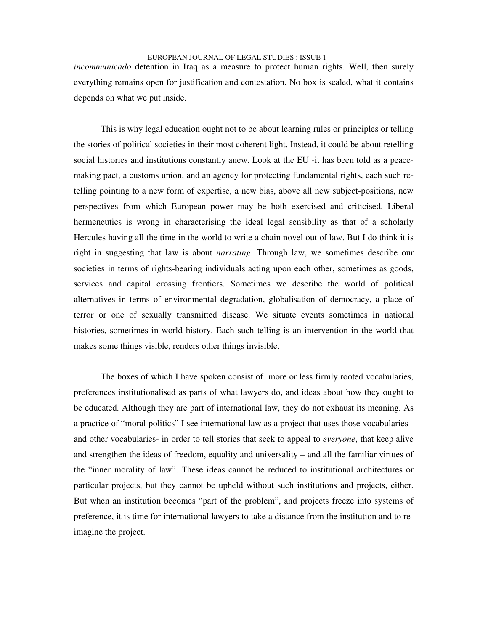*incommunicado* detention in Iraq as a measure to protect human rights. Well, then surely everything remains open for justification and contestation. No box is sealed, what it contains depends on what we put inside.

This is why legal education ought not to be about learning rules or principles or telling the stories of political societies in their most coherent light. Instead, it could be about retelling social histories and institutions constantly anew. Look at the EU -it has been told as a peacemaking pact, a customs union, and an agency for protecting fundamental rights, each such retelling pointing to a new form of expertise, a new bias, above all new subject-positions, new perspectives from which European power may be both exercised and criticised. Liberal hermeneutics is wrong in characterising the ideal legal sensibility as that of a scholarly Hercules having all the time in the world to write a chain novel out of law. But I do think it is right in suggesting that law is about *narrating*. Through law, we sometimes describe our societies in terms of rights-bearing individuals acting upon each other, sometimes as goods, services and capital crossing frontiers. Sometimes we describe the world of political alternatives in terms of environmental degradation, globalisation of democracy, a place of terror or one of sexually transmitted disease. We situate events sometimes in national histories, sometimes in world history. Each such telling is an intervention in the world that makes some things visible, renders other things invisible.

The boxes of which I have spoken consist of more or less firmly rooted vocabularies, preferences institutionalised as parts of what lawyers do, and ideas about how they ought to be educated. Although they are part of international law, they do not exhaust its meaning. As a practice of "moral politics" I see international law as a project that uses those vocabularies and other vocabularies- in order to tell stories that seek to appeal to *everyone*, that keep alive and strengthen the ideas of freedom, equality and universality – and all the familiar virtues of the "inner morality of law". These ideas cannot be reduced to institutional architectures or particular projects, but they cannot be upheld without such institutions and projects, either. But when an institution becomes "part of the problem", and projects freeze into systems of preference, it is time for international lawyers to take a distance from the institution and to reimagine the project.